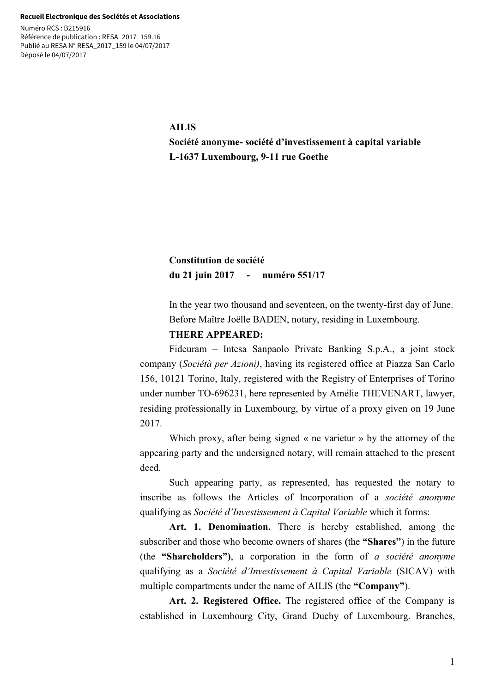#### **Recueil Electronique des Sociétés et Associations**

Numéro RCS : B215916 Référence de publication : RESA\_2017\_159.16 Publié au RESA N° RESA\_2017\_159 le 04/07/2017 Déposé le 04/07/2017

#### **AILIS**

**Société anonyme- société d'investissement à capital variable L-1637 Luxembourg, 9-11 rue Goethe** 

# **Constitution de société du 21 juin 2017 - numéro 551/17**

In the year two thousand and seventeen, on the twenty-first day of June. Before Maître Joëlle BADEN, notary, residing in Luxembourg.

# **THERE APPEARED:**

Fideuram – Intesa Sanpaolo Private Banking S.p.A., a joint stock company (*Sociétà per Azioni)*, having its registered office at Piazza San Carlo 156, 10121 Torino, Italy, registered with the Registry of Enterprises of Torino under number TO-696231, here represented by Amélie THEVENART, lawyer, residing professionally in Luxembourg, by virtue of a proxy given on 19 June 2017.

Which proxy, after being signed « ne varietur » by the attorney of the appearing party and the undersigned notary, will remain attached to the present deed.

Such appearing party, as represented, has requested the notary to inscribe as follows the Articles of Incorporation of a *société anonyme* qualifying as *Société d'Investissement à Capital Variable* which it forms:

**Art. 1. Denomination.** There is hereby established, among the subscriber and those who become owners of shares **(**the **"Shares"**) in the future (the **"Shareholders")**, a corporation in the form of *a société anonyme* qualifying as a *Société d'Investissement à Capital Variable* (SICAV) with multiple compartments under the name of AILIS (the **"Company"**).

**Art. 2. Registered Office.** The registered office of the Company is established in Luxembourg City, Grand Duchy of Luxembourg. Branches,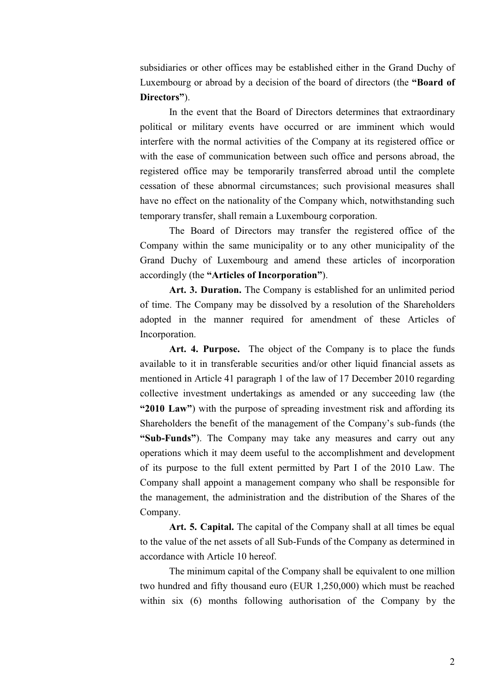subsidiaries or other offices may be established either in the Grand Duchy of Luxembourg or abroad by a decision of the board of directors (the **"Board of Directors"**).

In the event that the Board of Directors determines that extraordinary political or military events have occurred or are imminent which would interfere with the normal activities of the Company at its registered office or with the ease of communication between such office and persons abroad, the registered office may be temporarily transferred abroad until the complete cessation of these abnormal circumstances; such provisional measures shall have no effect on the nationality of the Company which, notwithstanding such temporary transfer, shall remain a Luxembourg corporation.

The Board of Directors may transfer the registered office of the Company within the same municipality or to any other municipality of the Grand Duchy of Luxembourg and amend these articles of incorporation accordingly (the **"Articles of Incorporation"**).

**Art. 3. Duration.** The Company is established for an unlimited period of time. The Company may be dissolved by a resolution of the Shareholders adopted in the manner required for amendment of these Articles of Incorporation.

**Art. 4. Purpose.** The object of the Company is to place the funds available to it in transferable securities and/or other liquid financial assets as mentioned in Article 41 paragraph 1 of the law of 17 December 2010 regarding collective investment undertakings as amended or any succeeding law (the **"2010 Law"**) with the purpose of spreading investment risk and affording its Shareholders the benefit of the management of the Company's sub-funds (the **"Sub-Funds"**). The Company may take any measures and carry out any operations which it may deem useful to the accomplishment and development of its purpose to the full extent permitted by Part I of the 2010 Law. The Company shall appoint a management company who shall be responsible for the management, the administration and the distribution of the Shares of the Company.

**Art. 5. Capital.** The capital of the Company shall at all times be equal to the value of the net assets of all Sub-Funds of the Company as determined in accordance with Article 10 hereof.

The minimum capital of the Company shall be equivalent to one million two hundred and fifty thousand euro (EUR 1,250,000) which must be reached within six (6) months following authorisation of the Company by the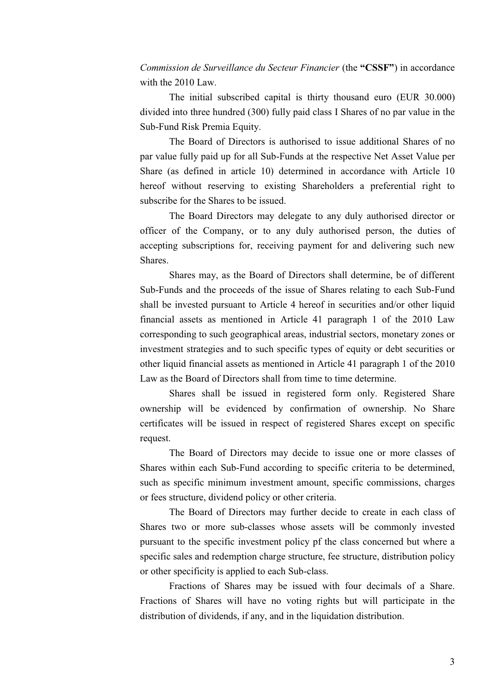*Commission de Surveillance du Secteur Financier* (the **"CSSF"**) in accordance with the 2010 Law.

The initial subscribed capital is thirty thousand euro (EUR 30.000) divided into three hundred (300) fully paid class I Shares of no par value in the Sub-Fund Risk Premia Equity.

The Board of Directors is authorised to issue additional Shares of no par value fully paid up for all Sub-Funds at the respective Net Asset Value per Share (as defined in article 10) determined in accordance with Article 10 hereof without reserving to existing Shareholders a preferential right to subscribe for the Shares to be issued.

The Board Directors may delegate to any duly authorised director or officer of the Company, or to any duly authorised person, the duties of accepting subscriptions for, receiving payment for and delivering such new Shares.

Shares may, as the Board of Directors shall determine, be of different Sub-Funds and the proceeds of the issue of Shares relating to each Sub-Fund shall be invested pursuant to Article 4 hereof in securities and/or other liquid financial assets as mentioned in Article 41 paragraph 1 of the 2010 Law corresponding to such geographical areas, industrial sectors, monetary zones or investment strategies and to such specific types of equity or debt securities or other liquid financial assets as mentioned in Article 41 paragraph 1 of the 2010 Law as the Board of Directors shall from time to time determine.

Shares shall be issued in registered form only. Registered Share ownership will be evidenced by confirmation of ownership. No Share certificates will be issued in respect of registered Shares except on specific request.

The Board of Directors may decide to issue one or more classes of Shares within each Sub-Fund according to specific criteria to be determined, such as specific minimum investment amount, specific commissions, charges or fees structure, dividend policy or other criteria.

The Board of Directors may further decide to create in each class of Shares two or more sub-classes whose assets will be commonly invested pursuant to the specific investment policy pf the class concerned but where a specific sales and redemption charge structure, fee structure, distribution policy or other specificity is applied to each Sub-class.

Fractions of Shares may be issued with four decimals of a Share. Fractions of Shares will have no voting rights but will participate in the distribution of dividends, if any, and in the liquidation distribution.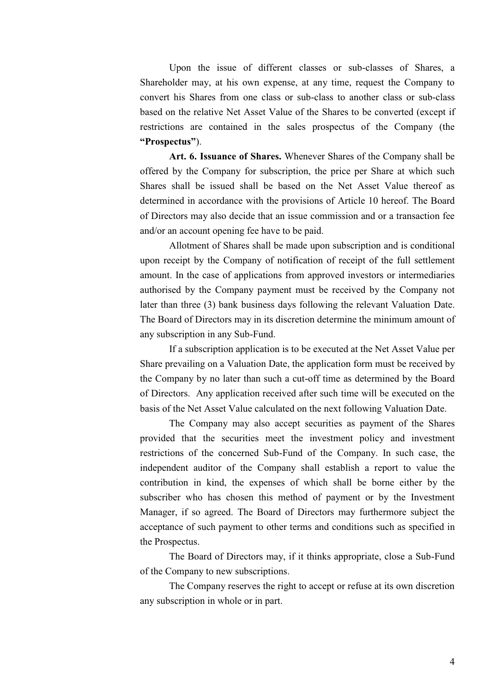Upon the issue of different classes or sub-classes of Shares, a Shareholder may, at his own expense, at any time, request the Company to convert his Shares from one class or sub-class to another class or sub-class based on the relative Net Asset Value of the Shares to be converted (except if restrictions are contained in the sales prospectus of the Company (the **"Prospectus"**).

**Art. 6. Issuance of Shares.** Whenever Shares of the Company shall be offered by the Company for subscription, the price per Share at which such Shares shall be issued shall be based on the Net Asset Value thereof as determined in accordance with the provisions of Article 10 hereof. The Board of Directors may also decide that an issue commission and or a transaction fee and/or an account opening fee have to be paid.

Allotment of Shares shall be made upon subscription and is conditional upon receipt by the Company of notification of receipt of the full settlement amount. In the case of applications from approved investors or intermediaries authorised by the Company payment must be received by the Company not later than three (3) bank business days following the relevant Valuation Date. The Board of Directors may in its discretion determine the minimum amount of any subscription in any Sub-Fund.

If a subscription application is to be executed at the Net Asset Value per Share prevailing on a Valuation Date, the application form must be received by the Company by no later than such a cut-off time as determined by the Board of Directors. Any application received after such time will be executed on the basis of the Net Asset Value calculated on the next following Valuation Date.

The Company may also accept securities as payment of the Shares provided that the securities meet the investment policy and investment restrictions of the concerned Sub-Fund of the Company. In such case, the independent auditor of the Company shall establish a report to value the contribution in kind, the expenses of which shall be borne either by the subscriber who has chosen this method of payment or by the Investment Manager, if so agreed. The Board of Directors may furthermore subject the acceptance of such payment to other terms and conditions such as specified in the Prospectus.

The Board of Directors may, if it thinks appropriate, close a Sub-Fund of the Company to new subscriptions.

The Company reserves the right to accept or refuse at its own discretion any subscription in whole or in part.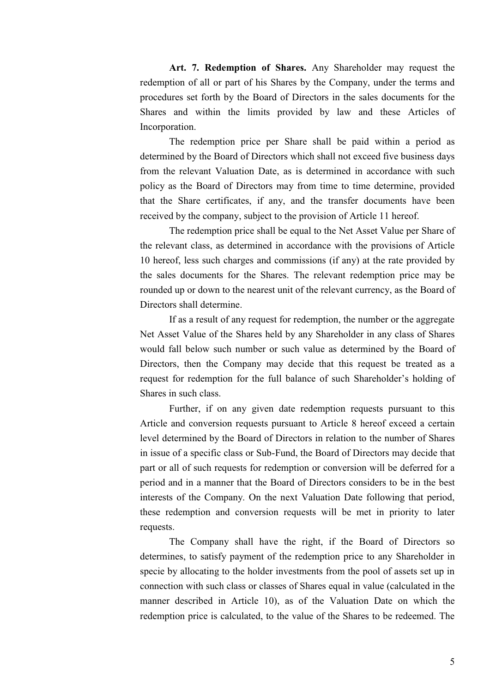**Art. 7. Redemption of Shares.** Any Shareholder may request the redemption of all or part of his Shares by the Company, under the terms and procedures set forth by the Board of Directors in the sales documents for the Shares and within the limits provided by law and these Articles of Incorporation.

The redemption price per Share shall be paid within a period as determined by the Board of Directors which shall not exceed five business days from the relevant Valuation Date, as is determined in accordance with such policy as the Board of Directors may from time to time determine, provided that the Share certificates, if any, and the transfer documents have been received by the company, subject to the provision of Article 11 hereof.

The redemption price shall be equal to the Net Asset Value per Share of the relevant class, as determined in accordance with the provisions of Article 10 hereof, less such charges and commissions (if any) at the rate provided by the sales documents for the Shares. The relevant redemption price may be rounded up or down to the nearest unit of the relevant currency, as the Board of Directors shall determine.

If as a result of any request for redemption, the number or the aggregate Net Asset Value of the Shares held by any Shareholder in any class of Shares would fall below such number or such value as determined by the Board of Directors, then the Company may decide that this request be treated as a request for redemption for the full balance of such Shareholder's holding of Shares in such class.

Further, if on any given date redemption requests pursuant to this Article and conversion requests pursuant to Article 8 hereof exceed a certain level determined by the Board of Directors in relation to the number of Shares in issue of a specific class or Sub-Fund, the Board of Directors may decide that part or all of such requests for redemption or conversion will be deferred for a period and in a manner that the Board of Directors considers to be in the best interests of the Company. On the next Valuation Date following that period, these redemption and conversion requests will be met in priority to later requests.

The Company shall have the right, if the Board of Directors so determines, to satisfy payment of the redemption price to any Shareholder in specie by allocating to the holder investments from the pool of assets set up in connection with such class or classes of Shares equal in value (calculated in the manner described in Article 10), as of the Valuation Date on which the redemption price is calculated, to the value of the Shares to be redeemed. The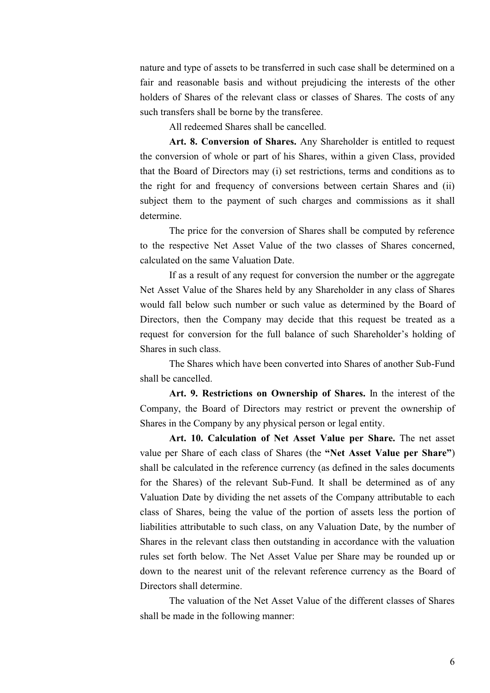nature and type of assets to be transferred in such case shall be determined on a fair and reasonable basis and without prejudicing the interests of the other holders of Shares of the relevant class or classes of Shares. The costs of any such transfers shall be borne by the transferee.

All redeemed Shares shall be cancelled.

**Art. 8. Conversion of Shares.** Any Shareholder is entitled to request the conversion of whole or part of his Shares, within a given Class, provided that the Board of Directors may (i) set restrictions, terms and conditions as to the right for and frequency of conversions between certain Shares and (ii) subject them to the payment of such charges and commissions as it shall determine.

The price for the conversion of Shares shall be computed by reference to the respective Net Asset Value of the two classes of Shares concerned, calculated on the same Valuation Date.

If as a result of any request for conversion the number or the aggregate Net Asset Value of the Shares held by any Shareholder in any class of Shares would fall below such number or such value as determined by the Board of Directors, then the Company may decide that this request be treated as a request for conversion for the full balance of such Shareholder's holding of Shares in such class.

The Shares which have been converted into Shares of another Sub-Fund shall be cancelled.

**Art. 9. Restrictions on Ownership of Shares.** In the interest of the Company, the Board of Directors may restrict or prevent the ownership of Shares in the Company by any physical person or legal entity.

**Art. 10. Calculation of Net Asset Value per Share.** The net asset value per Share of each class of Shares (the **"Net Asset Value per Share"**) shall be calculated in the reference currency (as defined in the sales documents for the Shares) of the relevant Sub-Fund. It shall be determined as of any Valuation Date by dividing the net assets of the Company attributable to each class of Shares, being the value of the portion of assets less the portion of liabilities attributable to such class, on any Valuation Date, by the number of Shares in the relevant class then outstanding in accordance with the valuation rules set forth below. The Net Asset Value per Share may be rounded up or down to the nearest unit of the relevant reference currency as the Board of Directors shall determine.

The valuation of the Net Asset Value of the different classes of Shares shall be made in the following manner: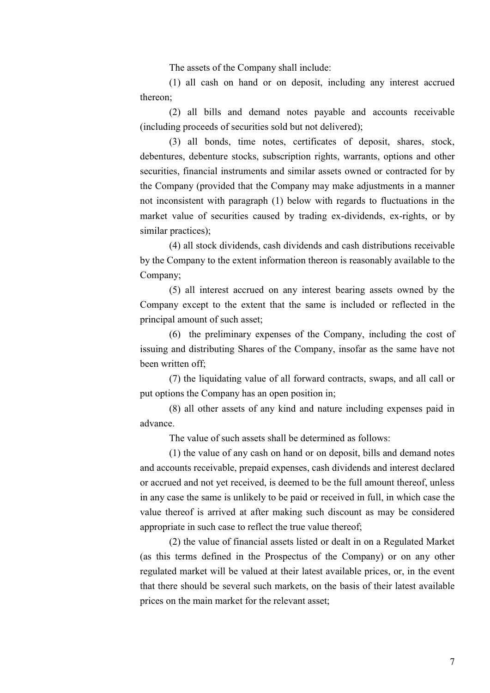The assets of the Company shall include:

(1) all cash on hand or on deposit, including any interest accrued thereon;

(2) all bills and demand notes payable and accounts receivable (including proceeds of securities sold but not delivered);

(3) all bonds, time notes, certificates of deposit, shares, stock, debentures, debenture stocks, subscription rights, warrants, options and other securities, financial instruments and similar assets owned or contracted for by the Company (provided that the Company may make adjustments in a manner not inconsistent with paragraph (1) below with regards to fluctuations in the market value of securities caused by trading ex-dividends, ex-rights, or by similar practices);

(4) all stock dividends, cash dividends and cash distributions receivable by the Company to the extent information thereon is reasonably available to the Company;

(5) all interest accrued on any interest bearing assets owned by the Company except to the extent that the same is included or reflected in the principal amount of such asset;

(6) the preliminary expenses of the Company, including the cost of issuing and distributing Shares of the Company, insofar as the same have not been written off;

(7) the liquidating value of all forward contracts, swaps, and all call or put options the Company has an open position in;

(8) all other assets of any kind and nature including expenses paid in advance.

The value of such assets shall be determined as follows:

(1) the value of any cash on hand or on deposit, bills and demand notes and accounts receivable, prepaid expenses, cash dividends and interest declared or accrued and not yet received, is deemed to be the full amount thereof, unless in any case the same is unlikely to be paid or received in full, in which case the value thereof is arrived at after making such discount as may be considered appropriate in such case to reflect the true value thereof;

(2) the value of financial assets listed or dealt in on a Regulated Market (as this terms defined in the Prospectus of the Company) or on any other regulated market will be valued at their latest available prices, or, in the event that there should be several such markets, on the basis of their latest available prices on the main market for the relevant asset;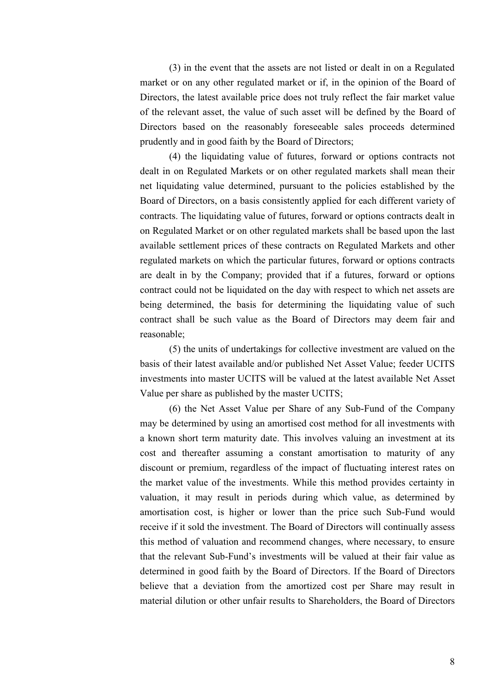(3) in the event that the assets are not listed or dealt in on a Regulated market or on any other regulated market or if, in the opinion of the Board of Directors, the latest available price does not truly reflect the fair market value of the relevant asset, the value of such asset will be defined by the Board of Directors based on the reasonably foreseeable sales proceeds determined prudently and in good faith by the Board of Directors;

(4) the liquidating value of futures, forward or options contracts not dealt in on Regulated Markets or on other regulated markets shall mean their net liquidating value determined, pursuant to the policies established by the Board of Directors, on a basis consistently applied for each different variety of contracts. The liquidating value of futures, forward or options contracts dealt in on Regulated Market or on other regulated markets shall be based upon the last available settlement prices of these contracts on Regulated Markets and other regulated markets on which the particular futures, forward or options contracts are dealt in by the Company; provided that if a futures, forward or options contract could not be liquidated on the day with respect to which net assets are being determined, the basis for determining the liquidating value of such contract shall be such value as the Board of Directors may deem fair and reasonable;

(5) the units of undertakings for collective investment are valued on the basis of their latest available and/or published Net Asset Value; feeder UCITS investments into master UCITS will be valued at the latest available Net Asset Value per share as published by the master UCITS;

(6) the Net Asset Value per Share of any Sub-Fund of the Company may be determined by using an amortised cost method for all investments with a known short term maturity date. This involves valuing an investment at its cost and thereafter assuming a constant amortisation to maturity of any discount or premium, regardless of the impact of fluctuating interest rates on the market value of the investments. While this method provides certainty in valuation, it may result in periods during which value, as determined by amortisation cost, is higher or lower than the price such Sub-Fund would receive if it sold the investment. The Board of Directors will continually assess this method of valuation and recommend changes, where necessary, to ensure that the relevant Sub-Fund's investments will be valued at their fair value as determined in good faith by the Board of Directors. If the Board of Directors believe that a deviation from the amortized cost per Share may result in material dilution or other unfair results to Shareholders, the Board of Directors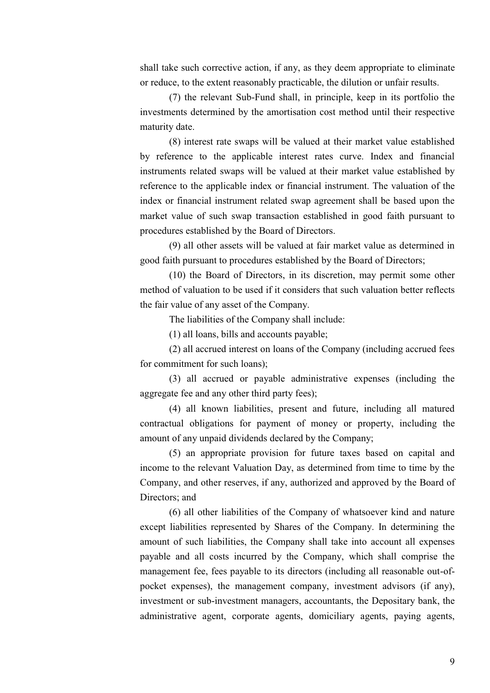shall take such corrective action, if any, as they deem appropriate to eliminate or reduce, to the extent reasonably practicable, the dilution or unfair results.

(7) the relevant Sub-Fund shall, in principle, keep in its portfolio the investments determined by the amortisation cost method until their respective maturity date.

(8) interest rate swaps will be valued at their market value established by reference to the applicable interest rates curve. Index and financial instruments related swaps will be valued at their market value established by reference to the applicable index or financial instrument. The valuation of the index or financial instrument related swap agreement shall be based upon the market value of such swap transaction established in good faith pursuant to procedures established by the Board of Directors.

(9) all other assets will be valued at fair market value as determined in good faith pursuant to procedures established by the Board of Directors;

(10) the Board of Directors, in its discretion, may permit some other method of valuation to be used if it considers that such valuation better reflects the fair value of any asset of the Company.

The liabilities of the Company shall include:

(1) all loans, bills and accounts payable;

(2) all accrued interest on loans of the Company (including accrued fees for commitment for such loans);

(3) all accrued or payable administrative expenses (including the aggregate fee and any other third party fees);

(4) all known liabilities, present and future, including all matured contractual obligations for payment of money or property, including the amount of any unpaid dividends declared by the Company;

(5) an appropriate provision for future taxes based on capital and income to the relevant Valuation Day, as determined from time to time by the Company, and other reserves, if any, authorized and approved by the Board of Directors; and

(6) all other liabilities of the Company of whatsoever kind and nature except liabilities represented by Shares of the Company. In determining the amount of such liabilities, the Company shall take into account all expenses payable and all costs incurred by the Company, which shall comprise the management fee, fees payable to its directors (including all reasonable out-ofpocket expenses), the management company, investment advisors (if any), investment or sub-investment managers, accountants, the Depositary bank, the administrative agent, corporate agents, domiciliary agents, paying agents,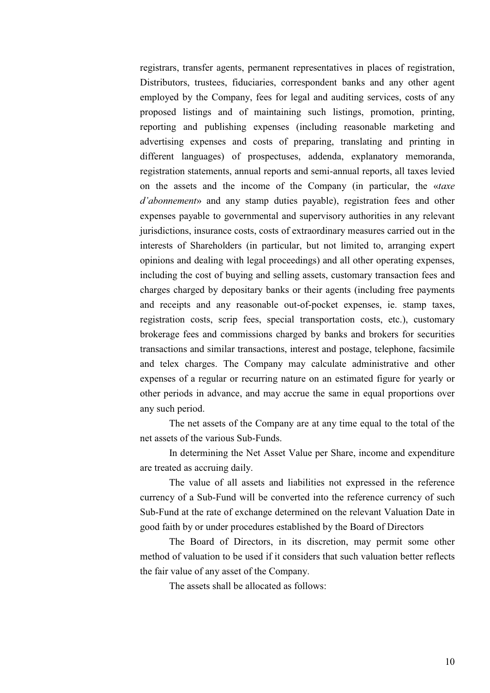registrars, transfer agents, permanent representatives in places of registration, Distributors, trustees, fiduciaries, correspondent banks and any other agent employed by the Company, fees for legal and auditing services, costs of any proposed listings and of maintaining such listings, promotion, printing, reporting and publishing expenses (including reasonable marketing and advertising expenses and costs of preparing, translating and printing in different languages) of prospectuses, addenda, explanatory memoranda, registration statements, annual reports and semi-annual reports, all taxes levied on the assets and the income of the Company (in particular, the «*taxe d'abonnement*» and any stamp duties payable), registration fees and other expenses payable to governmental and supervisory authorities in any relevant jurisdictions, insurance costs, costs of extraordinary measures carried out in the interests of Shareholders (in particular, but not limited to, arranging expert opinions and dealing with legal proceedings) and all other operating expenses, including the cost of buying and selling assets, customary transaction fees and charges charged by depositary banks or their agents (including free payments and receipts and any reasonable out-of-pocket expenses, ie. stamp taxes, registration costs, scrip fees, special transportation costs, etc.), customary brokerage fees and commissions charged by banks and brokers for securities transactions and similar transactions, interest and postage, telephone, facsimile and telex charges. The Company may calculate administrative and other expenses of a regular or recurring nature on an estimated figure for yearly or other periods in advance, and may accrue the same in equal proportions over any such period.

The net assets of the Company are at any time equal to the total of the net assets of the various Sub-Funds.

In determining the Net Asset Value per Share, income and expenditure are treated as accruing daily.

The value of all assets and liabilities not expressed in the reference currency of a Sub-Fund will be converted into the reference currency of such Sub-Fund at the rate of exchange determined on the relevant Valuation Date in good faith by or under procedures established by the Board of Directors

The Board of Directors, in its discretion, may permit some other method of valuation to be used if it considers that such valuation better reflects the fair value of any asset of the Company.

The assets shall be allocated as follows: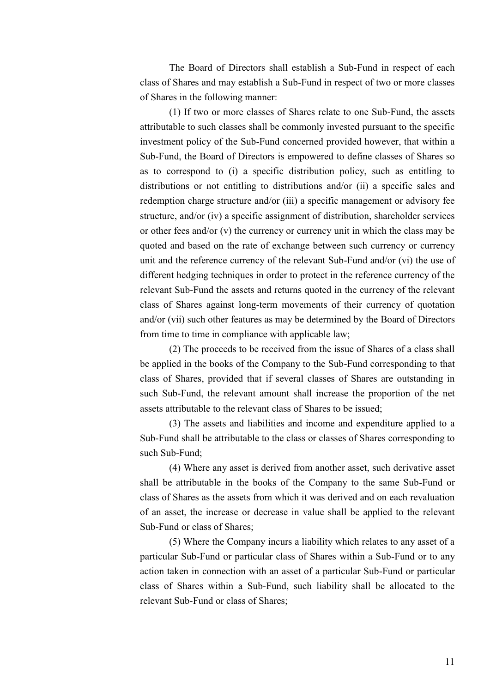The Board of Directors shall establish a Sub-Fund in respect of each class of Shares and may establish a Sub-Fund in respect of two or more classes of Shares in the following manner:

(1) If two or more classes of Shares relate to one Sub-Fund, the assets attributable to such classes shall be commonly invested pursuant to the specific investment policy of the Sub-Fund concerned provided however, that within a Sub-Fund, the Board of Directors is empowered to define classes of Shares so as to correspond to (i) a specific distribution policy, such as entitling to distributions or not entitling to distributions and/or (ii) a specific sales and redemption charge structure and/or (iii) a specific management or advisory fee structure, and/or (iv) a specific assignment of distribution, shareholder services or other fees and/or  $(v)$  the currency or currency unit in which the class may be quoted and based on the rate of exchange between such currency or currency unit and the reference currency of the relevant Sub-Fund and/or (vi) the use of different hedging techniques in order to protect in the reference currency of the relevant Sub-Fund the assets and returns quoted in the currency of the relevant class of Shares against long-term movements of their currency of quotation and/or (vii) such other features as may be determined by the Board of Directors from time to time in compliance with applicable law;

(2) The proceeds to be received from the issue of Shares of a class shall be applied in the books of the Company to the Sub-Fund corresponding to that class of Shares, provided that if several classes of Shares are outstanding in such Sub-Fund, the relevant amount shall increase the proportion of the net assets attributable to the relevant class of Shares to be issued;

(3) The assets and liabilities and income and expenditure applied to a Sub-Fund shall be attributable to the class or classes of Shares corresponding to such Sub-Fund;

(4) Where any asset is derived from another asset, such derivative asset shall be attributable in the books of the Company to the same Sub-Fund or class of Shares as the assets from which it was derived and on each revaluation of an asset, the increase or decrease in value shall be applied to the relevant Sub-Fund or class of Shares;

(5) Where the Company incurs a liability which relates to any asset of a particular Sub-Fund or particular class of Shares within a Sub-Fund or to any action taken in connection with an asset of a particular Sub-Fund or particular class of Shares within a Sub-Fund, such liability shall be allocated to the relevant Sub-Fund or class of Shares;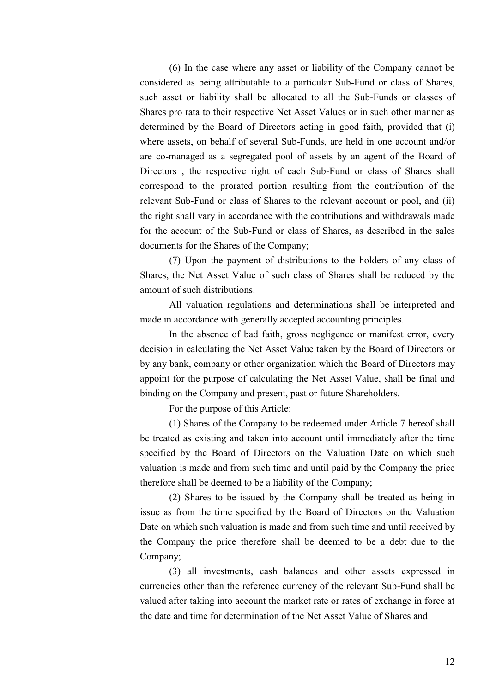(6) In the case where any asset or liability of the Company cannot be considered as being attributable to a particular Sub-Fund or class of Shares, such asset or liability shall be allocated to all the Sub-Funds or classes of Shares pro rata to their respective Net Asset Values or in such other manner as determined by the Board of Directors acting in good faith, provided that (i) where assets, on behalf of several Sub-Funds, are held in one account and/or are co-managed as a segregated pool of assets by an agent of the Board of Directors , the respective right of each Sub-Fund or class of Shares shall correspond to the prorated portion resulting from the contribution of the relevant Sub-Fund or class of Shares to the relevant account or pool, and (ii) the right shall vary in accordance with the contributions and withdrawals made for the account of the Sub-Fund or class of Shares, as described in the sales documents for the Shares of the Company;

(7) Upon the payment of distributions to the holders of any class of Shares, the Net Asset Value of such class of Shares shall be reduced by the amount of such distributions.

All valuation regulations and determinations shall be interpreted and made in accordance with generally accepted accounting principles.

In the absence of bad faith, gross negligence or manifest error, every decision in calculating the Net Asset Value taken by the Board of Directors or by any bank, company or other organization which the Board of Directors may appoint for the purpose of calculating the Net Asset Value, shall be final and binding on the Company and present, past or future Shareholders.

For the purpose of this Article:

(1) Shares of the Company to be redeemed under Article 7 hereof shall be treated as existing and taken into account until immediately after the time specified by the Board of Directors on the Valuation Date on which such valuation is made and from such time and until paid by the Company the price therefore shall be deemed to be a liability of the Company;

(2) Shares to be issued by the Company shall be treated as being in issue as from the time specified by the Board of Directors on the Valuation Date on which such valuation is made and from such time and until received by the Company the price therefore shall be deemed to be a debt due to the Company;

(3) all investments, cash balances and other assets expressed in currencies other than the reference currency of the relevant Sub-Fund shall be valued after taking into account the market rate or rates of exchange in force at the date and time for determination of the Net Asset Value of Shares and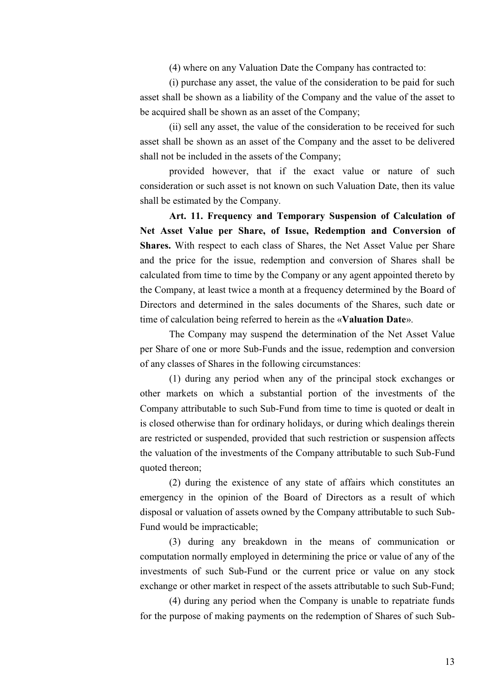(4) where on any Valuation Date the Company has contracted to:

(i) purchase any asset, the value of the consideration to be paid for such asset shall be shown as a liability of the Company and the value of the asset to be acquired shall be shown as an asset of the Company;

(ii) sell any asset, the value of the consideration to be received for such asset shall be shown as an asset of the Company and the asset to be delivered shall not be included in the assets of the Company;

provided however, that if the exact value or nature of such consideration or such asset is not known on such Valuation Date, then its value shall be estimated by the Company.

**Art. 11. Frequency and Temporary Suspension of Calculation of Net Asset Value per Share, of Issue, Redemption and Conversion of Shares.** With respect to each class of Shares, the Net Asset Value per Share and the price for the issue, redemption and conversion of Shares shall be calculated from time to time by the Company or any agent appointed thereto by the Company, at least twice a month at a frequency determined by the Board of Directors and determined in the sales documents of the Shares, such date or time of calculation being referred to herein as the «**Valuation Date**».

The Company may suspend the determination of the Net Asset Value per Share of one or more Sub-Funds and the issue, redemption and conversion of any classes of Shares in the following circumstances:

(1) during any period when any of the principal stock exchanges or other markets on which a substantial portion of the investments of the Company attributable to such Sub-Fund from time to time is quoted or dealt in is closed otherwise than for ordinary holidays, or during which dealings therein are restricted or suspended, provided that such restriction or suspension affects the valuation of the investments of the Company attributable to such Sub-Fund quoted thereon;

(2) during the existence of any state of affairs which constitutes an emergency in the opinion of the Board of Directors as a result of which disposal or valuation of assets owned by the Company attributable to such Sub-Fund would be impracticable;

(3) during any breakdown in the means of communication or computation normally employed in determining the price or value of any of the investments of such Sub-Fund or the current price or value on any stock exchange or other market in respect of the assets attributable to such Sub-Fund;

(4) during any period when the Company is unable to repatriate funds for the purpose of making payments on the redemption of Shares of such Sub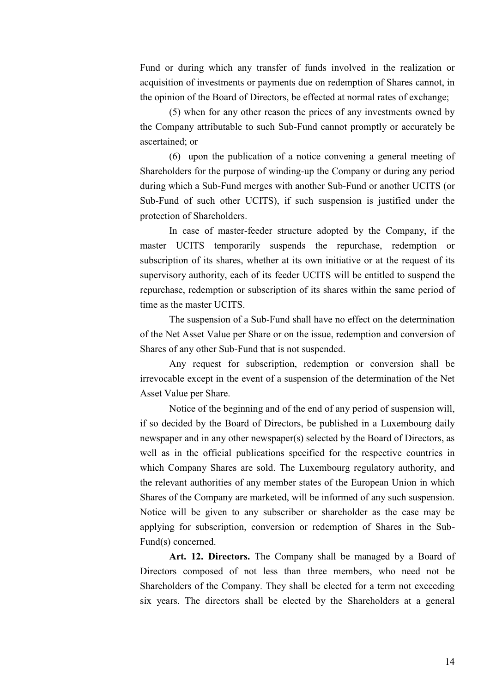Fund or during which any transfer of funds involved in the realization or acquisition of investments or payments due on redemption of Shares cannot, in the opinion of the Board of Directors, be effected at normal rates of exchange;

(5) when for any other reason the prices of any investments owned by the Company attributable to such Sub-Fund cannot promptly or accurately be ascertained; or

(6) upon the publication of a notice convening a general meeting of Shareholders for the purpose of winding-up the Company or during any period during which a Sub-Fund merges with another Sub-Fund or another UCITS (or Sub-Fund of such other UCITS), if such suspension is justified under the protection of Shareholders.

In case of master-feeder structure adopted by the Company, if the master UCITS temporarily suspends the repurchase, redemption or subscription of its shares, whether at its own initiative or at the request of its supervisory authority, each of its feeder UCITS will be entitled to suspend the repurchase, redemption or subscription of its shares within the same period of time as the master UCITS.

The suspension of a Sub-Fund shall have no effect on the determination of the Net Asset Value per Share or on the issue, redemption and conversion of Shares of any other Sub-Fund that is not suspended.

Any request for subscription, redemption or conversion shall be irrevocable except in the event of a suspension of the determination of the Net Asset Value per Share.

Notice of the beginning and of the end of any period of suspension will, if so decided by the Board of Directors, be published in a Luxembourg daily newspaper and in any other newspaper(s) selected by the Board of Directors, as well as in the official publications specified for the respective countries in which Company Shares are sold. The Luxembourg regulatory authority, and the relevant authorities of any member states of the European Union in which Shares of the Company are marketed, will be informed of any such suspension. Notice will be given to any subscriber or shareholder as the case may be applying for subscription, conversion or redemption of Shares in the Sub-Fund(s) concerned.

**Art. 12. Directors.** The Company shall be managed by a Board of Directors composed of not less than three members, who need not be Shareholders of the Company. They shall be elected for a term not exceeding six years. The directors shall be elected by the Shareholders at a general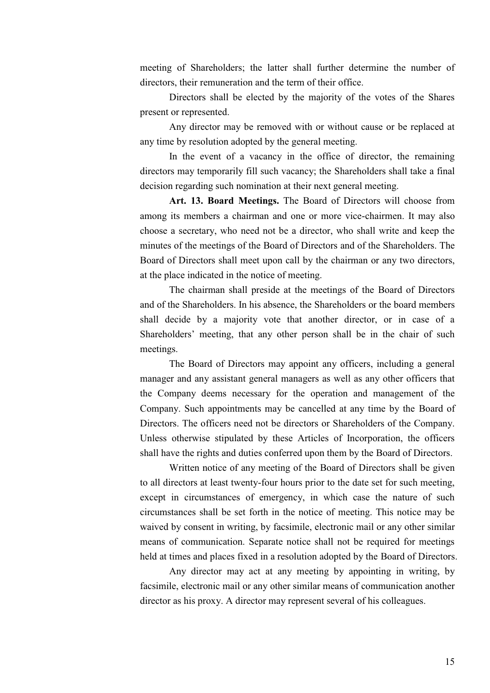meeting of Shareholders; the latter shall further determine the number of directors, their remuneration and the term of their office.

Directors shall be elected by the majority of the votes of the Shares present or represented.

Any director may be removed with or without cause or be replaced at any time by resolution adopted by the general meeting.

In the event of a vacancy in the office of director, the remaining directors may temporarily fill such vacancy; the Shareholders shall take a final decision regarding such nomination at their next general meeting.

**Art. 13. Board Meetings.** The Board of Directors will choose from among its members a chairman and one or more vice-chairmen. It may also choose a secretary, who need not be a director, who shall write and keep the minutes of the meetings of the Board of Directors and of the Shareholders. The Board of Directors shall meet upon call by the chairman or any two directors, at the place indicated in the notice of meeting.

The chairman shall preside at the meetings of the Board of Directors and of the Shareholders. In his absence, the Shareholders or the board members shall decide by a majority vote that another director, or in case of a Shareholders' meeting, that any other person shall be in the chair of such meetings.

The Board of Directors may appoint any officers, including a general manager and any assistant general managers as well as any other officers that the Company deems necessary for the operation and management of the Company. Such appointments may be cancelled at any time by the Board of Directors. The officers need not be directors or Shareholders of the Company. Unless otherwise stipulated by these Articles of Incorporation, the officers shall have the rights and duties conferred upon them by the Board of Directors.

Written notice of any meeting of the Board of Directors shall be given to all directors at least twenty-four hours prior to the date set for such meeting, except in circumstances of emergency, in which case the nature of such circumstances shall be set forth in the notice of meeting. This notice may be waived by consent in writing, by facsimile, electronic mail or any other similar means of communication. Separate notice shall not be required for meetings held at times and places fixed in a resolution adopted by the Board of Directors.

Any director may act at any meeting by appointing in writing, by facsimile, electronic mail or any other similar means of communication another director as his proxy. A director may represent several of his colleagues.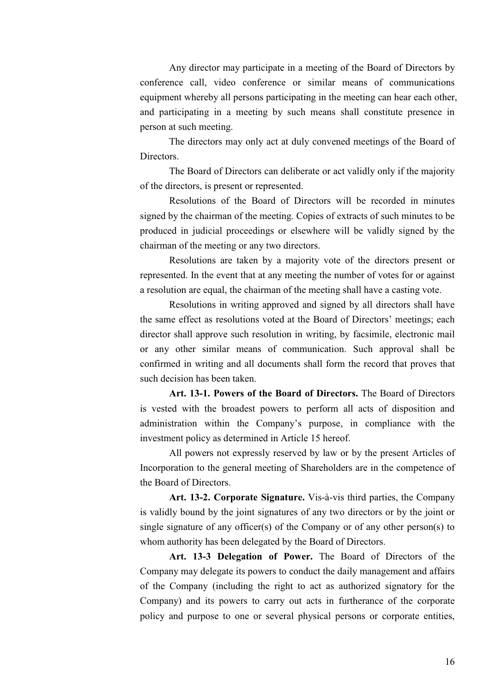Any director may participate in a meeting of the Board of Directors by conference call, video conference or similar means of communications equipment whereby all persons participating in the meeting can hear each other, and participating in a meeting by such means shall constitute presence in person at such meeting.

The directors may only act at duly convened meetings of the Board of Directors.

The Board of Directors can deliberate or act validly only if the majority of the directors, is present or represented.

Resolutions of the Board of Directors will be recorded in minutes signed by the chairman of the meeting. Copies of extracts of such minutes to be produced in judicial proceedings or elsewhere will be validly signed by the chairman of the meeting or any two directors.

Resolutions are taken by a majority vote of the directors present or represented. In the event that at any meeting the number of votes for or against a resolution are equal, the chairman of the meeting shall have a casting vote.

Resolutions in writing approved and signed by all directors shall have the same effect as resolutions voted at the Board of Directors' meetings; each director shall approve such resolution in writing, by facsimile, electronic mail or any other similar means of communication. Such approval shall be confirmed in writing and all documents shall form the record that proves that such decision has been taken.

**Art. 13-1. Powers of the Board of Directors.** The Board of Directors is vested with the broadest powers to perform all acts of disposition and administration within the Company's purpose, in compliance with the investment policy as determined in Article 15 hereof.

All powers not expressly reserved by law or by the present Articles of Incorporation to the general meeting of Shareholders are in the competence of the Board of Directors.

**Art. 13-2. Corporate Signature.** Vis-à-vis third parties, the Company is validly bound by the joint signatures of any two directors or by the joint or single signature of any officer(s) of the Company or of any other person(s) to whom authority has been delegated by the Board of Directors.

**Art. 13-3 Delegation of Power.** The Board of Directors of the Company may delegate its powers to conduct the daily management and affairs of the Company (including the right to act as authorized signatory for the Company) and its powers to carry out acts in furtherance of the corporate policy and purpose to one or several physical persons or corporate entities,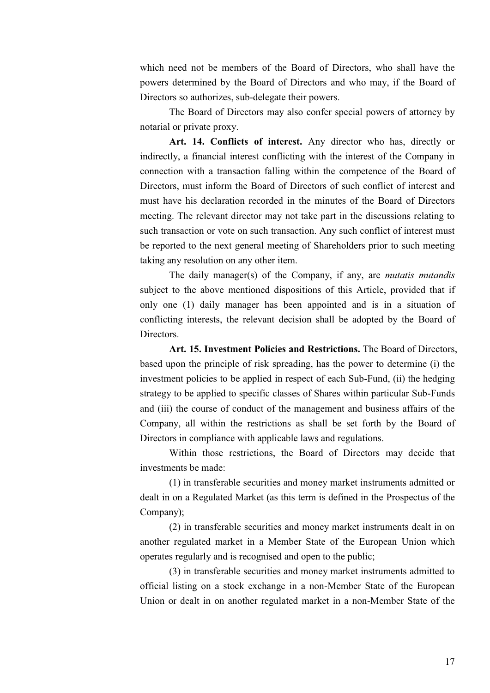which need not be members of the Board of Directors, who shall have the powers determined by the Board of Directors and who may, if the Board of Directors so authorizes, sub-delegate their powers.

The Board of Directors may also confer special powers of attorney by notarial or private proxy.

**Art. 14. Conflicts of interest.** Any director who has, directly or indirectly, a financial interest conflicting with the interest of the Company in connection with a transaction falling within the competence of the Board of Directors, must inform the Board of Directors of such conflict of interest and must have his declaration recorded in the minutes of the Board of Directors meeting. The relevant director may not take part in the discussions relating to such transaction or vote on such transaction. Any such conflict of interest must be reported to the next general meeting of Shareholders prior to such meeting taking any resolution on any other item.

The daily manager(s) of the Company, if any, are *mutatis mutandis* subject to the above mentioned dispositions of this Article, provided that if only one (1) daily manager has been appointed and is in a situation of conflicting interests, the relevant decision shall be adopted by the Board of Directors.

**Art. 15. Investment Policies and Restrictions.** The Board of Directors, based upon the principle of risk spreading, has the power to determine (i) the investment policies to be applied in respect of each Sub-Fund, (ii) the hedging strategy to be applied to specific classes of Shares within particular Sub-Funds and (iii) the course of conduct of the management and business affairs of the Company, all within the restrictions as shall be set forth by the Board of Directors in compliance with applicable laws and regulations.

Within those restrictions, the Board of Directors may decide that investments be made:

(1) in transferable securities and money market instruments admitted or dealt in on a Regulated Market (as this term is defined in the Prospectus of the Company);

(2) in transferable securities and money market instruments dealt in on another regulated market in a Member State of the European Union which operates regularly and is recognised and open to the public;

(3) in transferable securities and money market instruments admitted to official listing on a stock exchange in a non-Member State of the European Union or dealt in on another regulated market in a non-Member State of the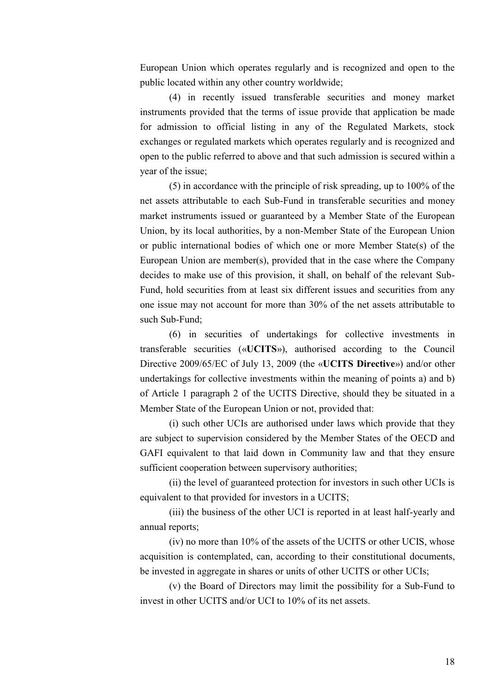European Union which operates regularly and is recognized and open to the public located within any other country worldwide;

(4) in recently issued transferable securities and money market instruments provided that the terms of issue provide that application be made for admission to official listing in any of the Regulated Markets, stock exchanges or regulated markets which operates regularly and is recognized and open to the public referred to above and that such admission is secured within a year of the issue;

(5) in accordance with the principle of risk spreading, up to 100% of the net assets attributable to each Sub-Fund in transferable securities and money market instruments issued or guaranteed by a Member State of the European Union, by its local authorities, by a non-Member State of the European Union or public international bodies of which one or more Member State(s) of the European Union are member(s), provided that in the case where the Company decides to make use of this provision, it shall, on behalf of the relevant Sub-Fund, hold securities from at least six different issues and securities from any one issue may not account for more than 30% of the net assets attributable to such Sub-Fund;

(6) in securities of undertakings for collective investments in transferable securities («**UCITS**»), authorised according to the Council Directive 2009/65/EC of July 13, 2009 (the «**UCITS Directive**») and/or other undertakings for collective investments within the meaning of points a) and b) of Article 1 paragraph 2 of the UCITS Directive, should they be situated in a Member State of the European Union or not, provided that:

(i) such other UCIs are authorised under laws which provide that they are subject to supervision considered by the Member States of the OECD and GAFI equivalent to that laid down in Community law and that they ensure sufficient cooperation between supervisory authorities;

(ii) the level of guaranteed protection for investors in such other UCIs is equivalent to that provided for investors in a UCITS;

(iii) the business of the other UCI is reported in at least half-yearly and annual reports;

(iv) no more than 10% of the assets of the UCITS or other UCIS, whose acquisition is contemplated, can, according to their constitutional documents, be invested in aggregate in shares or units of other UCITS or other UCIs;

(v) the Board of Directors may limit the possibility for a Sub-Fund to invest in other UCITS and/or UCI to 10% of its net assets.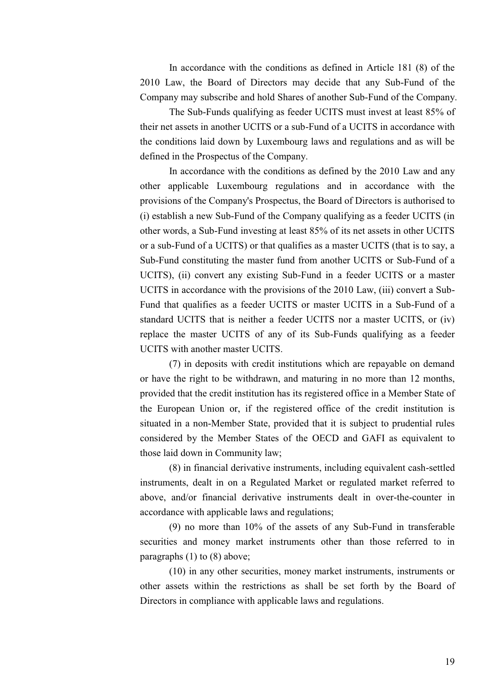In accordance with the conditions as defined in Article 181 (8) of the 2010 Law, the Board of Directors may decide that any Sub-Fund of the Company may subscribe and hold Shares of another Sub-Fund of the Company.

The Sub-Funds qualifying as feeder UCITS must invest at least 85% of their net assets in another UCITS or a sub-Fund of a UCITS in accordance with the conditions laid down by Luxembourg laws and regulations and as will be defined in the Prospectus of the Company.

In accordance with the conditions as defined by the 2010 Law and any other applicable Luxembourg regulations and in accordance with the provisions of the Company's Prospectus, the Board of Directors is authorised to (i) establish a new Sub-Fund of the Company qualifying as a feeder UCITS (in other words, a Sub-Fund investing at least 85% of its net assets in other UCITS or a sub-Fund of a UCITS) or that qualifies as a master UCITS (that is to say, a Sub-Fund constituting the master fund from another UCITS or Sub-Fund of a UCITS), (ii) convert any existing Sub-Fund in a feeder UCITS or a master UCITS in accordance with the provisions of the 2010 Law, (iii) convert a Sub-Fund that qualifies as a feeder UCITS or master UCITS in a Sub-Fund of a standard UCITS that is neither a feeder UCITS nor a master UCITS, or (iv) replace the master UCITS of any of its Sub-Funds qualifying as a feeder UCITS with another master UCITS.

(7) in deposits with credit institutions which are repayable on demand or have the right to be withdrawn, and maturing in no more than 12 months, provided that the credit institution has its registered office in a Member State of the European Union or, if the registered office of the credit institution is situated in a non-Member State, provided that it is subject to prudential rules considered by the Member States of the OECD and GAFI as equivalent to those laid down in Community law;

(8) in financial derivative instruments, including equivalent cash-settled instruments, dealt in on a Regulated Market or regulated market referred to above, and/or financial derivative instruments dealt in over-the-counter in accordance with applicable laws and regulations;

(9) no more than 10% of the assets of any Sub-Fund in transferable securities and money market instruments other than those referred to in paragraphs (1) to (8) above;

(10) in any other securities, money market instruments, instruments or other assets within the restrictions as shall be set forth by the Board of Directors in compliance with applicable laws and regulations.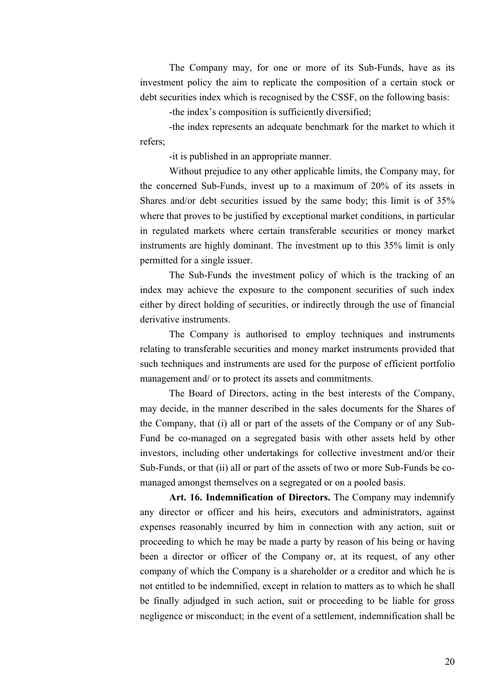The Company may, for one or more of its Sub-Funds, have as its investment policy the aim to replicate the composition of a certain stock or debt securities index which is recognised by the CSSF, on the following basis:

-the index's composition is sufficiently diversified;

-the index represents an adequate benchmark for the market to which it refers;

-it is published in an appropriate manner.

Without prejudice to any other applicable limits, the Company may, for the concerned Sub-Funds, invest up to a maximum of 20% of its assets in Shares and/or debt securities issued by the same body; this limit is of 35% where that proves to be justified by exceptional market conditions, in particular in regulated markets where certain transferable securities or money market instruments are highly dominant. The investment up to this 35% limit is only permitted for a single issuer.

The Sub-Funds the investment policy of which is the tracking of an index may achieve the exposure to the component securities of such index either by direct holding of securities, or indirectly through the use of financial derivative instruments.

The Company is authorised to employ techniques and instruments relating to transferable securities and money market instruments provided that such techniques and instruments are used for the purpose of efficient portfolio management and/ or to protect its assets and commitments.

The Board of Directors, acting in the best interests of the Company, may decide, in the manner described in the sales documents for the Shares of the Company, that (i) all or part of the assets of the Company or of any Sub-Fund be co-managed on a segregated basis with other assets held by other investors, including other undertakings for collective investment and/or their Sub-Funds, or that (ii) all or part of the assets of two or more Sub-Funds be comanaged amongst themselves on a segregated or on a pooled basis.

**Art. 16. Indemnification of Directors.** The Company may indemnify any director or officer and his heirs, executors and administrators, against expenses reasonably incurred by him in connection with any action, suit or proceeding to which he may be made a party by reason of his being or having been a director or officer of the Company or, at its request, of any other company of which the Company is a shareholder or a creditor and which he is not entitled to be indemnified, except in relation to matters as to which he shall be finally adjudged in such action, suit or proceeding to be liable for gross negligence or misconduct; in the event of a settlement, indemnification shall be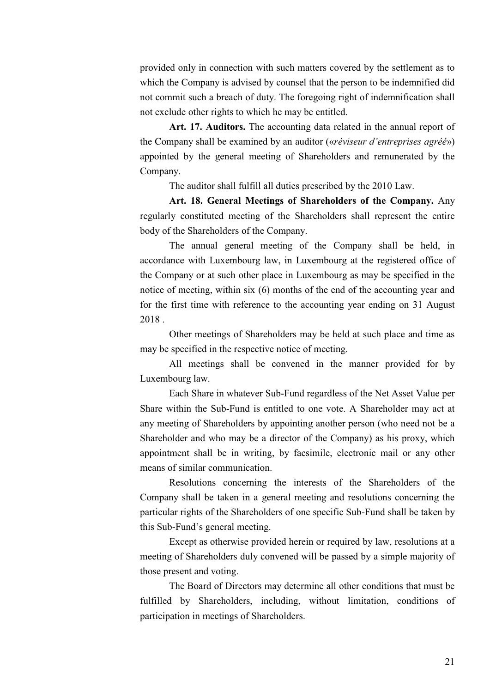provided only in connection with such matters covered by the settlement as to which the Company is advised by counsel that the person to be indemnified did not commit such a breach of duty. The foregoing right of indemnification shall not exclude other rights to which he may be entitled.

**Art. 17. Auditors.** The accounting data related in the annual report of the Company shall be examined by an auditor («*réviseur d'entreprises agréé*») appointed by the general meeting of Shareholders and remunerated by the Company.

The auditor shall fulfill all duties prescribed by the 2010 Law.

**Art. 18. General Meetings of Shareholders of the Company.** Any regularly constituted meeting of the Shareholders shall represent the entire body of the Shareholders of the Company.

The annual general meeting of the Company shall be held, in accordance with Luxembourg law, in Luxembourg at the registered office of the Company or at such other place in Luxembourg as may be specified in the notice of meeting, within six (6) months of the end of the accounting year and for the first time with reference to the accounting year ending on 31 August 2018 .

Other meetings of Shareholders may be held at such place and time as may be specified in the respective notice of meeting.

All meetings shall be convened in the manner provided for by Luxembourg law.

Each Share in whatever Sub-Fund regardless of the Net Asset Value per Share within the Sub-Fund is entitled to one vote. A Shareholder may act at any meeting of Shareholders by appointing another person (who need not be a Shareholder and who may be a director of the Company) as his proxy, which appointment shall be in writing, by facsimile, electronic mail or any other means of similar communication.

Resolutions concerning the interests of the Shareholders of the Company shall be taken in a general meeting and resolutions concerning the particular rights of the Shareholders of one specific Sub-Fund shall be taken by this Sub-Fund's general meeting.

Except as otherwise provided herein or required by law, resolutions at a meeting of Shareholders duly convened will be passed by a simple majority of those present and voting.

The Board of Directors may determine all other conditions that must be fulfilled by Shareholders, including, without limitation, conditions of participation in meetings of Shareholders.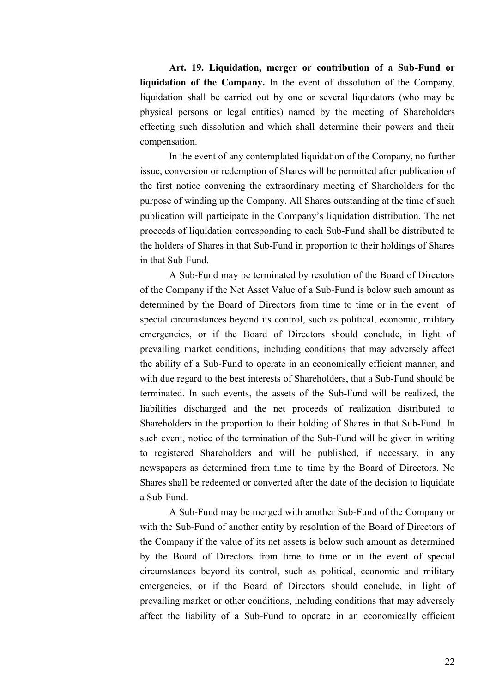**Art. 19. Liquidation, merger or contribution of a Sub-Fund or liquidation of the Company.** In the event of dissolution of the Company, liquidation shall be carried out by one or several liquidators (who may be physical persons or legal entities) named by the meeting of Shareholders effecting such dissolution and which shall determine their powers and their compensation.

In the event of any contemplated liquidation of the Company, no further issue, conversion or redemption of Shares will be permitted after publication of the first notice convening the extraordinary meeting of Shareholders for the purpose of winding up the Company. All Shares outstanding at the time of such publication will participate in the Company's liquidation distribution. The net proceeds of liquidation corresponding to each Sub-Fund shall be distributed to the holders of Shares in that Sub-Fund in proportion to their holdings of Shares in that Sub-Fund.

A Sub-Fund may be terminated by resolution of the Board of Directors of the Company if the Net Asset Value of a Sub-Fund is below such amount as determined by the Board of Directors from time to time or in the event of special circumstances beyond its control, such as political, economic, military emergencies, or if the Board of Directors should conclude, in light of prevailing market conditions, including conditions that may adversely affect the ability of a Sub-Fund to operate in an economically efficient manner, and with due regard to the best interests of Shareholders, that a Sub-Fund should be terminated. In such events, the assets of the Sub-Fund will be realized, the liabilities discharged and the net proceeds of realization distributed to Shareholders in the proportion to their holding of Shares in that Sub-Fund. In such event, notice of the termination of the Sub-Fund will be given in writing to registered Shareholders and will be published, if necessary, in any newspapers as determined from time to time by the Board of Directors. No Shares shall be redeemed or converted after the date of the decision to liquidate a Sub-Fund.

A Sub-Fund may be merged with another Sub-Fund of the Company or with the Sub-Fund of another entity by resolution of the Board of Directors of the Company if the value of its net assets is below such amount as determined by the Board of Directors from time to time or in the event of special circumstances beyond its control, such as political, economic and military emergencies, or if the Board of Directors should conclude, in light of prevailing market or other conditions, including conditions that may adversely affect the liability of a Sub-Fund to operate in an economically efficient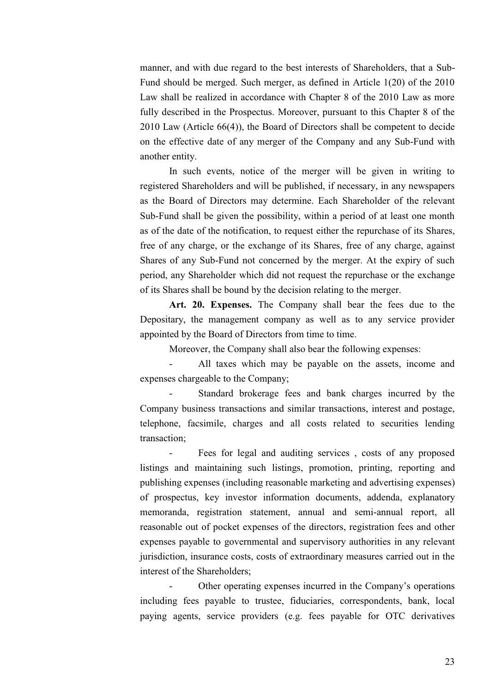manner, and with due regard to the best interests of Shareholders, that a Sub-Fund should be merged. Such merger, as defined in Article 1(20) of the 2010 Law shall be realized in accordance with Chapter 8 of the 2010 Law as more fully described in the Prospectus. Moreover, pursuant to this Chapter 8 of the 2010 Law (Article 66(4)), the Board of Directors shall be competent to decide on the effective date of any merger of the Company and any Sub-Fund with another entity.

In such events, notice of the merger will be given in writing to registered Shareholders and will be published, if necessary, in any newspapers as the Board of Directors may determine. Each Shareholder of the relevant Sub-Fund shall be given the possibility, within a period of at least one month as of the date of the notification, to request either the repurchase of its Shares, free of any charge, or the exchange of its Shares, free of any charge, against Shares of any Sub-Fund not concerned by the merger. At the expiry of such period, any Shareholder which did not request the repurchase or the exchange of its Shares shall be bound by the decision relating to the merger.

**Art. 20. Expenses.** The Company shall bear the fees due to the Depositary, the management company as well as to any service provider appointed by the Board of Directors from time to time.

Moreover, the Company shall also bear the following expenses:

All taxes which may be payable on the assets, income and expenses chargeable to the Company;

Standard brokerage fees and bank charges incurred by the Company business transactions and similar transactions, interest and postage, telephone, facsimile, charges and all costs related to securities lending transaction;

Fees for legal and auditing services, costs of any proposed listings and maintaining such listings, promotion, printing, reporting and publishing expenses (including reasonable marketing and advertising expenses) of prospectus, key investor information documents, addenda, explanatory memoranda, registration statement, annual and semi-annual report, all reasonable out of pocket expenses of the directors, registration fees and other expenses payable to governmental and supervisory authorities in any relevant jurisdiction, insurance costs, costs of extraordinary measures carried out in the interest of the Shareholders;

Other operating expenses incurred in the Company's operations including fees payable to trustee, fiduciaries, correspondents, bank, local paying agents, service providers (e.g. fees payable for OTC derivatives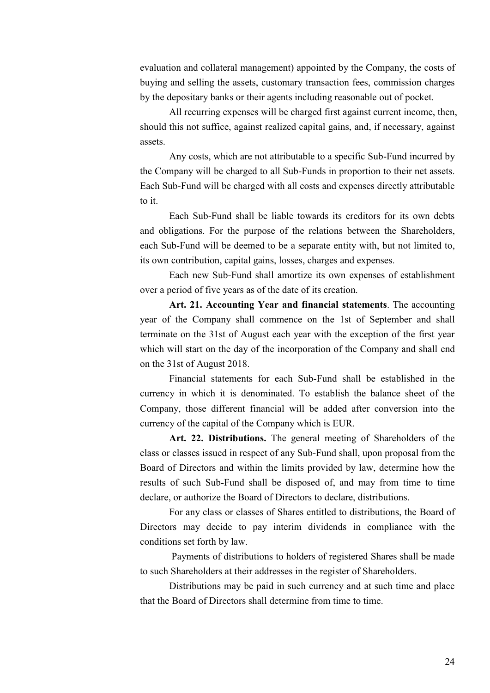evaluation and collateral management) appointed by the Company, the costs of buying and selling the assets, customary transaction fees, commission charges by the depositary banks or their agents including reasonable out of pocket.

All recurring expenses will be charged first against current income, then, should this not suffice, against realized capital gains, and, if necessary, against assets.

Any costs, which are not attributable to a specific Sub-Fund incurred by the Company will be charged to all Sub-Funds in proportion to their net assets. Each Sub-Fund will be charged with all costs and expenses directly attributable to it.

Each Sub-Fund shall be liable towards its creditors for its own debts and obligations. For the purpose of the relations between the Shareholders, each Sub-Fund will be deemed to be a separate entity with, but not limited to, its own contribution, capital gains, losses, charges and expenses.

Each new Sub-Fund shall amortize its own expenses of establishment over a period of five years as of the date of its creation.

**Art. 21. Accounting Year and financial statements**. The accounting year of the Company shall commence on the 1st of September and shall terminate on the 31st of August each year with the exception of the first year which will start on the day of the incorporation of the Company and shall end on the 31st of August 2018.

Financial statements for each Sub-Fund shall be established in the currency in which it is denominated. To establish the balance sheet of the Company, those different financial will be added after conversion into the currency of the capital of the Company which is EUR.

**Art. 22. Distributions.** The general meeting of Shareholders of the class or classes issued in respect of any Sub-Fund shall, upon proposal from the Board of Directors and within the limits provided by law, determine how the results of such Sub-Fund shall be disposed of, and may from time to time declare, or authorize the Board of Directors to declare, distributions.

For any class or classes of Shares entitled to distributions, the Board of Directors may decide to pay interim dividends in compliance with the conditions set forth by law.

 Payments of distributions to holders of registered Shares shall be made to such Shareholders at their addresses in the register of Shareholders.

Distributions may be paid in such currency and at such time and place that the Board of Directors shall determine from time to time.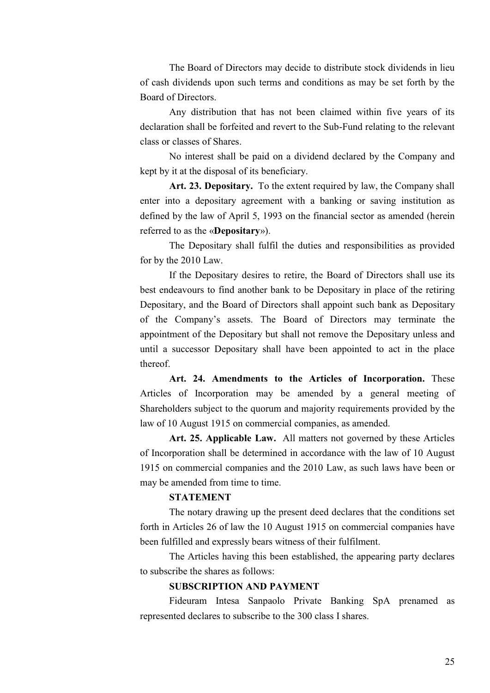The Board of Directors may decide to distribute stock dividends in lieu of cash dividends upon such terms and conditions as may be set forth by the Board of Directors.

Any distribution that has not been claimed within five years of its declaration shall be forfeited and revert to the Sub-Fund relating to the relevant class or classes of Shares.

No interest shall be paid on a dividend declared by the Company and kept by it at the disposal of its beneficiary.

**Art. 23. Depositary.** To the extent required by law, the Company shall enter into a depositary agreement with a banking or saving institution as defined by the law of April 5, 1993 on the financial sector as amended (herein referred to as the «**Depositary**»).

The Depositary shall fulfil the duties and responsibilities as provided for by the 2010 Law.

If the Depositary desires to retire, the Board of Directors shall use its best endeavours to find another bank to be Depositary in place of the retiring Depositary, and the Board of Directors shall appoint such bank as Depositary of the Company's assets. The Board of Directors may terminate the appointment of the Depositary but shall not remove the Depositary unless and until a successor Depositary shall have been appointed to act in the place thereof.

**Art. 24. Amendments to the Articles of Incorporation.** These Articles of Incorporation may be amended by a general meeting of Shareholders subject to the quorum and majority requirements provided by the law of 10 August 1915 on commercial companies, as amended.

**Art. 25. Applicable Law.** All matters not governed by these Articles of Incorporation shall be determined in accordance with the law of 10 August 1915 on commercial companies and the 2010 Law, as such laws have been or may be amended from time to time.

## **STATEMENT**

The notary drawing up the present deed declares that the conditions set forth in Articles 26 of law the 10 August 1915 on commercial companies have been fulfilled and expressly bears witness of their fulfilment.

The Articles having this been established, the appearing party declares to subscribe the shares as follows:

#### **SUBSCRIPTION AND PAYMENT**

Fideuram Intesa Sanpaolo Private Banking SpA prenamed as represented declares to subscribe to the 300 class I shares.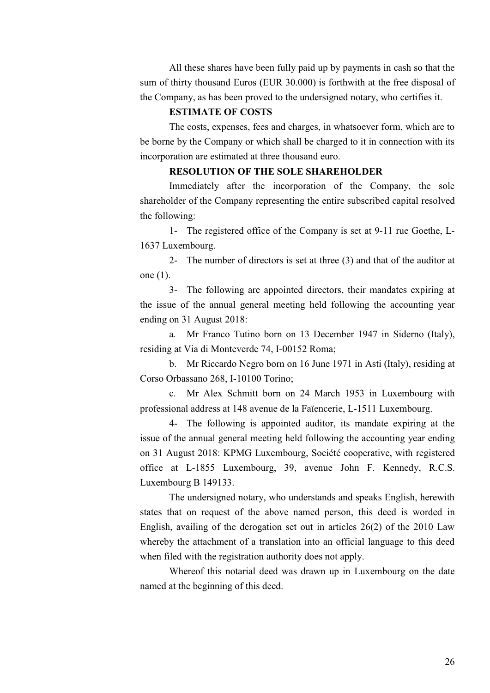All these shares have been fully paid up by payments in cash so that the sum of thirty thousand Euros (EUR 30.000) is forthwith at the free disposal of the Company, as has been proved to the undersigned notary, who certifies it.

#### **ESTIMATE OF COSTS**

The costs, expenses, fees and charges, in whatsoever form, which are to be borne by the Company or which shall be charged to it in connection with its incorporation are estimated at three thousand euro.

## **RESOLUTION OF THE SOLE SHAREHOLDER**

Immediately after the incorporation of the Company, the sole shareholder of the Company representing the entire subscribed capital resolved the following:

1- The registered office of the Company is set at 9-11 rue Goethe, L-1637 Luxembourg.

2- The number of directors is set at three (3) and that of the auditor at one (1).

3- The following are appointed directors, their mandates expiring at the issue of the annual general meeting held following the accounting year ending on 31 August 2018:

a. Mr Franco Tutino born on 13 December 1947 in Siderno (Italy), residing at Via di Monteverde 74, I-00152 Roma;

b. Mr Riccardo Negro born on 16 June 1971 in Asti (Italy), residing at Corso Orbassano 268, I-10100 Torino;

c. Mr Alex Schmitt born on 24 March 1953 in Luxembourg with professional address at 148 avenue de la Faïencerie, L-1511 Luxembourg.

4- The following is appointed auditor, its mandate expiring at the issue of the annual general meeting held following the accounting year ending on 31 August 2018: KPMG Luxembourg, Société cooperative, with registered office at L-1855 Luxembourg, 39, avenue John F. Kennedy, R.C.S. Luxembourg B 149133.

The undersigned notary, who understands and speaks English, herewith states that on request of the above named person, this deed is worded in English, availing of the derogation set out in articles 26(2) of the 2010 Law whereby the attachment of a translation into an official language to this deed when filed with the registration authority does not apply.

Whereof this notarial deed was drawn up in Luxembourg on the date named at the beginning of this deed.